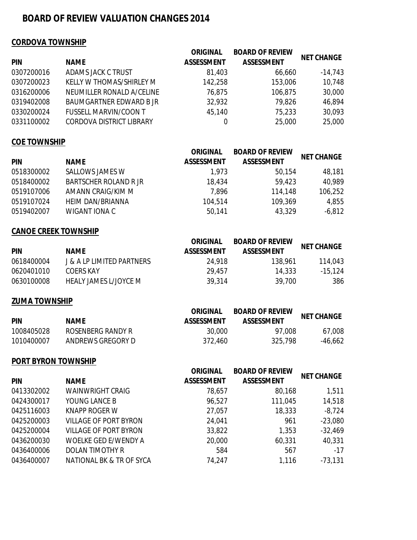# **BOARD OF REVIEW VALUATION CHANGES 2014**

### **CORDOVA TOWNSHIP**

| PIN        | <b>NAME</b>                     | <b>ORIGINAL</b><br><b>ASSESSMENT</b> | <b>BOARD OF REVIEW</b><br><b>ASSESSMENT</b> | <b>NET CHANGE</b> |
|------------|---------------------------------|--------------------------------------|---------------------------------------------|-------------------|
| 0307200016 | ADAMS JACK C TRUST              | 81,403                               | 66,660                                      | $-14,743$         |
| 0307200023 | KELLY W THOMAS/SHIRLEY M        | 142,258                              | 153,006                                     | 10,748            |
| 0316200006 | NEUMILLER RONALD A/CELINE       | 76,875                               | 106,875                                     | 30,000            |
| 0319402008 | <b>BAUMGARTNER EDWARD BJR</b>   | 32,932                               | 79,826                                      | 46,894            |
| 0330200024 | <b>FUSSELL MARVIN/COON T</b>    | 45,140                               | 75,233                                      | 30,093            |
| 0331100002 | <b>CORDOVA DISTRICT LIBRARY</b> | 0                                    | 25,000                                      | 25,000            |
|            |                                 |                                      |                                             |                   |

### **COE TOWNSHIP**

| <b>PIN</b> | <b>NAME</b>                  | <b>ORIGINAL</b><br><b>ASSESSMENT</b> | <b>BOARD OF REVIEW</b><br><b>ASSESSMENT</b> | <b>NET CHANGE</b> |
|------------|------------------------------|--------------------------------------|---------------------------------------------|-------------------|
| 0518300002 | SALLOWS JAMES W              | 1,973                                | 50,154                                      | 48,181            |
| 0518400002 | <b>BARTSCHER ROLAND R JR</b> | 18,434                               | 59,423                                      | 40,989            |
| 0519107006 | AMANN CRAIG/KIM M            | 7,896                                | 114,148                                     | 106,252           |
| 0519107024 | HEIM DAN/BRIANNA             | 104,514                              | 109,369                                     | 4,855             |
| 0519402007 | WIGANT IONA C                | 50,141                               | 43,329                                      | $-6,812$          |

## **CANOE CREEK TOWNSHIP**

|            |                                       | <b>ORIGINAL</b>   | <b>BOARD OF REVIEW</b> | <b>NET CHANGE</b> |
|------------|---------------------------------------|-------------------|------------------------|-------------------|
| <b>PIN</b> | <b>NAME</b>                           | <b>ASSESSMENT</b> | <b>ASSESSMENT</b>      |                   |
| 0618400004 | <b>J &amp; A I P LIMITED PARTNERS</b> | 24.918            | 138.961                | 114,043           |
| 0620401010 | COFRS KAY                             | 29,457            | 14.333                 | $-15,124$         |
| 0630100008 | HEALY JAMES L/JOYCE M                 | 39,314            | 39,700                 | 386               |

### **ZUMA TOWNSHIP**

| <b>PIN</b> | <b>NAME</b>       | <b>ORIGINAL</b><br><b>ASSESSMENT</b> | <b>BOARD OF REVIEW</b><br><b>ASSESSMENT</b> | <b>NET CHANGE</b> |
|------------|-------------------|--------------------------------------|---------------------------------------------|-------------------|
| 1008405028 | ROSENBERG RANDY R | 30,000                               | 97.008                                      | 67.008            |
| 1010400007 | ANDREWS GREGORY D | 372,460                              | 325,798                                     | $-46,662$         |

### **PORT BYRON TOWNSHIP**

| <b>PIN</b> | <b>NAME</b>                  | <b>ORIGINAL</b><br><b>ASSESSMENT</b> | <b>BOARD OF REVIEW</b><br><b>ASSESSMENT</b> | <b>NET CHANGE</b> |
|------------|------------------------------|--------------------------------------|---------------------------------------------|-------------------|
| 0413302002 | <b>WAINWRIGHT CRAIG</b>      | 78,657                               | 80,168                                      | 1,511             |
| 0424300017 | YOUNG LANCE B                | 96,527                               | 111,045                                     | 14,518            |
| 0425116003 | KNAPP ROGER W                | 27,057                               | 18,333                                      | $-8,724$          |
| 0425200003 | <b>VILLAGE OF PORT BYRON</b> | 24,041                               | 961                                         | $-23,080$         |
| 0425200004 | VILLAGE OF PORT BYRON        | 33,822                               | 1,353                                       | $-32,469$         |
| 0436200030 | <b>WOELKE GED E/WENDY A</b>  | 20,000                               | 60,331                                      | 40,331            |
| 0436400006 | DOLAN TIMOTHY R              | 584                                  | 567                                         | $-17$             |
| 0436400007 | NATIONAL BK & TR OF SYCA     | 74,247                               | 1,116                                       | $-73,131$         |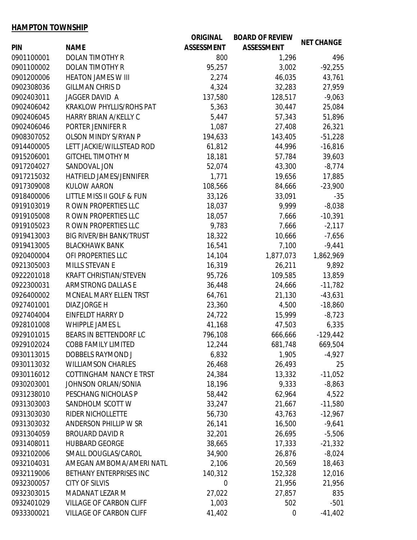### **HAMPTON TOWNSHIP**

|            |                                 | <b>ORIGINAL</b>   | <b>BOARD OF REVIEW</b> | <b>NET CHANGE</b> |
|------------|---------------------------------|-------------------|------------------------|-------------------|
| <b>PIN</b> | <b>NAME</b>                     | <b>ASSESSMENT</b> | <b>ASSESSMENT</b>      |                   |
| 0901100001 | <b>DOLAN TIMOTHY R</b>          | 800               | 1,296                  | 496               |
| 0901100002 | <b>DOLAN TIMOTHY R</b>          | 95,257            | 3,002                  | $-92,255$         |
| 0901200006 | <b>HEATON JAMES W III</b>       | 2,274             | 46,035                 | 43,761            |
| 0902308036 | <b>GILLMAN CHRIS D</b>          | 4,324             | 32,283                 | 27,959            |
| 0902403011 | JAGGER DAVID A                  | 137,580           | 128,517                | $-9,063$          |
| 0902406042 | <b>KRAKLOW PHYLLIS/ROHS PAT</b> | 5,363             | 30,447                 | 25,084            |
| 0902406045 | HARRY BRIAN A/KELLY C           | 5,447             | 57,343                 | 51,896            |
| 0902406046 | PORTER JENNIFER R               | 1,087             | 27,408                 | 26,321            |
| 0908307052 | <b>OLSON MINDY S/RYAN P</b>     | 194,633           | 143,405                | $-51,228$         |
| 0914400005 | LETT JACKIE/WILLSTEAD ROD       | 61,812            | 44,996                 | $-16,816$         |
| 0915206001 | <b>GITCHEL TIMOTHY M</b>        | 18,181            | 57,784                 | 39,603            |
| 0917204027 | SANDOVAL JON                    | 52,074            | 43,300                 | $-8,774$          |
| 0917215032 | HATFIELD JAMES/JENNIFER         | 1,771             | 19,656                 | 17,885            |
| 0917309008 | <b>KULOW AARON</b>              | 108,566           | 84,666                 | $-23,900$         |
| 0918400006 | LITTLE MISS II GOLF & FUN       | 33,126            | 33,091                 | $-35$             |
| 0919103019 | R OWN PROPERTIES LLC            | 18,037            | 9,999                  | $-8,038$          |
| 0919105008 | R OWN PROPERTIES LLC            | 18,057            | 7,666                  | $-10,391$         |
| 0919105023 | R OWN PROPERTIES LLC            | 9,783             | 7,666                  | $-2,117$          |
| 0919413003 | <b>BIG RIVER/BH BANK/TRUST</b>  | 18,322            | 10,666                 | $-7,656$          |
| 0919413005 | <b>BLACKHAWK BANK</b>           | 16,541            | 7,100                  | $-9,441$          |
| 0920400004 | OFI PROPERTIES LLC              | 14,104            | 1,877,073              | 1,862,969         |
| 0921305003 | MILLS STEVAN E                  | 16,319            | 26,211                 | 9,892             |
| 0922201018 | <b>KRAFT CHRISTIAN/STEVEN</b>   | 95,726            | 109,585                | 13,859            |
| 0922300031 | <b>ARMSTRONG DALLAS E</b>       | 36,448            | 24,666                 | $-11,782$         |
| 0926400002 | MCNEAL MARY ELLEN TRST          | 64,761            | 21,130                 | $-43,631$         |
| 0927401001 | DIAZ JORGE H                    | 23,360            | 4,500                  | $-18,860$         |
| 0927404004 | EINFELDT HARRY D                | 24,722            | 15,999                 | $-8,723$          |
| 0928101008 | <b>WHIPPLE JAMES L</b>          | 41,168            | 47,503                 | 6,335             |
| 0929101015 | BEARS IN BETTENDORF LC          | 796,108           | 666,666                | $-129,442$        |
| 0929102024 | <b>COBB FAMILY LIMITED</b>      | 12,244            | 681,748                | 669,504           |
| 0930113015 | DOBBELS RAYMOND J               | 6,832             | 1,905                  | $-4,927$          |
| 0930113032 | <b>WILLIAMSON CHARLES</b>       | 26,468            | 26,493                 | 25                |
| 0930116012 | COTTINGHAM NANCY E TRST         | 24,384            | 13,332                 | $-11,052$         |
| 0930203001 | <b>JOHNSON ORLAN/SONIA</b>      | 18,196            | 9,333                  | $-8,863$          |
| 0931238010 | PESCHANG NICHOLAS P             | 58,442            | 62,964                 | 4,522             |
| 0931303003 | SANDHOLM SCOTT W                | 33,247            | 21,667                 | $-11,580$         |
| 0931303030 | RIDER NICHOLLETTE               | 56,730            | 43,763                 | $-12,967$         |
| 0931303032 | <b>ANDERSON PHILLIP W SR</b>    | 26,141            | 16,500                 | $-9,641$          |
| 0931304059 | <b>BROUARD DAVID R</b>          | 32,201            | 26,695                 | $-5,506$          |
| 0931408011 | <b>HUBBARD GEORGE</b>           | 38,665            | 17,333                 | $-21,332$         |
| 0932102006 | SMALL DOUGLAS/CAROL             | 34,900            | 26,876                 | $-8,024$          |
| 0932104031 | AMEGAN AMBOMA/AMERI NATL        | 2,106             | 20,569                 | 18,463            |
| 0932119006 | BETHANY ENTERPRISES INC         | 140,312           | 152,328                | 12,016            |
| 0932300057 | <b>CITY OF SILVIS</b>           | $\boldsymbol{0}$  | 21,956                 | 21,956            |
| 0932303015 | MADANAT LEZAR M                 | 27,022            | 27,857                 | 835               |
| 0932401029 | <b>VILLAGE OF CARBON CLIFF</b>  | 1,003             | 502                    | $-501$            |
| 0933300021 | <b>VILLAGE OF CARBON CLIFF</b>  | 41,402            | 0                      | $-41,402$         |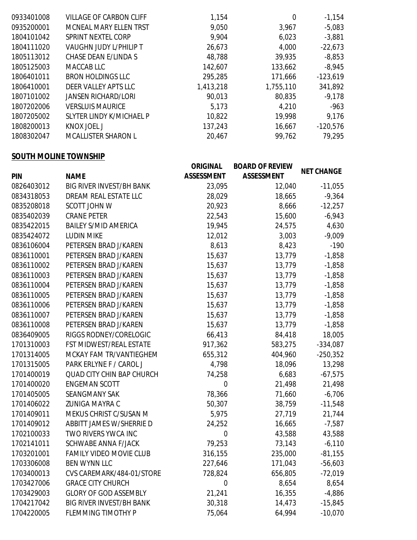| 0935200001<br>MCNEAL MARY ELLEN TRST<br>9,050<br>$-5,083$<br>3,967<br>1804101042<br>SPRINT NEXTEL CORP<br>9,904<br>6,023<br>$-3,881$<br>1804111020<br><b>VAUGHN JUDY L/PHILIP T</b><br>$-22,673$<br>26,673<br>4,000<br>CHASE DEAN E/LINDA S<br>48,788<br>39,935<br>$-8,853$<br>1805113012<br>1805125003<br>142,607<br>MACCAB LLC<br>133,662<br>$-8,945$<br><b>BRON HOLDINGS LLC</b><br>1806401011<br>295,285<br>$-123,619$<br>171,666<br>DEER VALLEY APTS LLC<br>1806410001<br>1,413,218<br>1,755,110<br>341,892<br>1807101002<br><b>JANSEN RICHARD/LORI</b><br>90,013<br>80,835<br>$-9,178$<br>1807202006<br>VERSI UIS MAURICE<br>4,210<br>5,173<br>$-963$<br>19,998<br>1807205002<br>SLYTER LINDY K/MICHAEL P<br>10,822<br>9,176<br>1808200013<br>KNOX JOEL J<br>137,243<br>16,667<br>$-120,576$<br><b>MCALLISTER SHARON L</b><br>79,295<br>99,762<br>1808302047<br>20,467 | 0933401008 | VILLAGE OF CARBON CLIFF | 1,154 | 0 | $-1,154$ |
|------------------------------------------------------------------------------------------------------------------------------------------------------------------------------------------------------------------------------------------------------------------------------------------------------------------------------------------------------------------------------------------------------------------------------------------------------------------------------------------------------------------------------------------------------------------------------------------------------------------------------------------------------------------------------------------------------------------------------------------------------------------------------------------------------------------------------------------------------------------------------|------------|-------------------------|-------|---|----------|
|                                                                                                                                                                                                                                                                                                                                                                                                                                                                                                                                                                                                                                                                                                                                                                                                                                                                              |            |                         |       |   |          |
|                                                                                                                                                                                                                                                                                                                                                                                                                                                                                                                                                                                                                                                                                                                                                                                                                                                                              |            |                         |       |   |          |
|                                                                                                                                                                                                                                                                                                                                                                                                                                                                                                                                                                                                                                                                                                                                                                                                                                                                              |            |                         |       |   |          |
|                                                                                                                                                                                                                                                                                                                                                                                                                                                                                                                                                                                                                                                                                                                                                                                                                                                                              |            |                         |       |   |          |
|                                                                                                                                                                                                                                                                                                                                                                                                                                                                                                                                                                                                                                                                                                                                                                                                                                                                              |            |                         |       |   |          |
|                                                                                                                                                                                                                                                                                                                                                                                                                                                                                                                                                                                                                                                                                                                                                                                                                                                                              |            |                         |       |   |          |
|                                                                                                                                                                                                                                                                                                                                                                                                                                                                                                                                                                                                                                                                                                                                                                                                                                                                              |            |                         |       |   |          |
|                                                                                                                                                                                                                                                                                                                                                                                                                                                                                                                                                                                                                                                                                                                                                                                                                                                                              |            |                         |       |   |          |
|                                                                                                                                                                                                                                                                                                                                                                                                                                                                                                                                                                                                                                                                                                                                                                                                                                                                              |            |                         |       |   |          |
|                                                                                                                                                                                                                                                                                                                                                                                                                                                                                                                                                                                                                                                                                                                                                                                                                                                                              |            |                         |       |   |          |
|                                                                                                                                                                                                                                                                                                                                                                                                                                                                                                                                                                                                                                                                                                                                                                                                                                                                              |            |                         |       |   |          |
|                                                                                                                                                                                                                                                                                                                                                                                                                                                                                                                                                                                                                                                                                                                                                                                                                                                                              |            |                         |       |   |          |

# **SOUTH MOLINE TOWNSHIP**

| <b>PIN</b> | <b>NAME</b>                      | <b>ORIGINAL</b><br><b>ASSESSMENT</b> | <b>BOARD OF REVIEW</b><br><b>ASSESSMENT</b> | <b>NET CHANGE</b> |
|------------|----------------------------------|--------------------------------------|---------------------------------------------|-------------------|
| 0826403012 | <b>BIG RIVER INVEST/BH BANK</b>  | 23,095                               | 12,040                                      | $-11,055$         |
| 0834318053 | DREAM REAL ESTATE LLC            | 28,029                               | 18,665                                      | $-9,364$          |
| 0835208018 | <b>SCOTT JOHN W</b>              | 20,923                               | 8,666                                       | $-12,257$         |
| 0835402039 | <b>CRANE PETER</b>               | 22,543                               | 15,600                                      | $-6,943$          |
| 0835422015 | <b>BAILEY S/MID AMERICA</b>      | 19,945                               | 24,575                                      | 4,630             |
| 0835424072 | <b>LUDIN MIKE</b>                | 12,012                               | 3,003                                       | $-9,009$          |
| 0836106004 | PETERSEN BRAD J/KAREN            | 8,613                                | 8,423                                       | $-190$            |
| 0836110001 | PETERSEN BRAD J/KAREN            | 15,637                               | 13,779                                      | $-1,858$          |
| 0836110002 | PETERSEN BRAD J/KAREN            | 15,637                               | 13,779                                      | $-1,858$          |
| 0836110003 | PETERSEN BRAD J/KAREN            | 15,637                               | 13,779                                      | $-1,858$          |
| 0836110004 | PETERSEN BRAD J/KAREN            | 15,637                               | 13,779                                      | $-1,858$          |
| 0836110005 | PETERSEN BRAD J/KAREN            | 15,637                               | 13,779                                      | $-1,858$          |
| 0836110006 | PETERSEN BRAD J/KAREN            | 15,637                               | 13,779                                      | $-1,858$          |
| 0836110007 | PETERSEN BRAD J/KAREN            | 15,637                               | 13,779                                      | $-1,858$          |
| 0836110008 | PETERSEN BRAD J/KAREN            | 15,637                               | 13,779                                      | $-1,858$          |
| 0836409005 | RIGGS RODNEY/CORELOGIC           | 66,413                               | 84,418                                      | 18,005            |
| 1701310003 | FST MIDWEST/REAL ESTATE          | 917,362                              | 583,275                                     | $-334,087$        |
| 1701314005 | MCKAY FAM TR/VANTIEGHEM          | 655,312                              | 404,960                                     | $-250,352$        |
| 1701315005 | PARK ERLYNE F / CAROL J          | 4,798                                | 18,096                                      | 13,298            |
| 1701400019 | <b>QUAD CITY CHIN BAP CHURCH</b> | 74,258                               | 6,683                                       | $-67,575$         |
| 1701400020 | <b>ENGEMAN SCOTT</b>             | 0                                    | 21,498                                      | 21,498            |
| 1701405005 | <b>SEANGMANY SAK</b>             | 78,366                               | 71,660                                      | $-6,706$          |
| 1701406022 | <b>ZUNIGA MAYRA C</b>            | 50,307                               | 38,759                                      | $-11,548$         |
| 1701409011 | MEKUS CHRIST C/SUSAN M           | 5,975                                | 27,719                                      | 21,744            |
| 1701409012 | ABBITT JAMES W/SHERRIE D         | 24,252                               | 16,665                                      | $-7,587$          |
| 1702100033 | TWO RIVERS YWCA INC              | $\boldsymbol{0}$                     | 43,588                                      | 43,588            |
| 1702141011 | <b>SCHWABE ANNA F/JACK</b>       | 79,253                               | 73,143                                      | $-6,110$          |
| 1703201001 | FAMILY VIDEO MOVIE CLUB          | 316,155                              | 235,000                                     | $-81,155$         |
| 1703306008 | BEN WYNN LLC                     | 227,646                              | 171,043                                     | $-56,603$         |
| 1703400013 | CVS CAREMARK/484-01/STORE        | 728,824                              | 656,805                                     | $-72,019$         |
| 1703427006 | <b>GRACE CITY CHURCH</b>         | $\boldsymbol{0}$                     | 8,654                                       | 8,654             |
| 1703429003 | <b>GLORY OF GOD ASSEMBLY</b>     | 21,241                               | 16,355                                      | $-4,886$          |
| 1704217042 | <b>BIG RIVER INVEST/BH BANK</b>  | 30,318                               | 14,473                                      | $-15,845$         |
| 1704220005 | FLEMMING TIMOTHY P               | 75,064                               | 64,994                                      | $-10,070$         |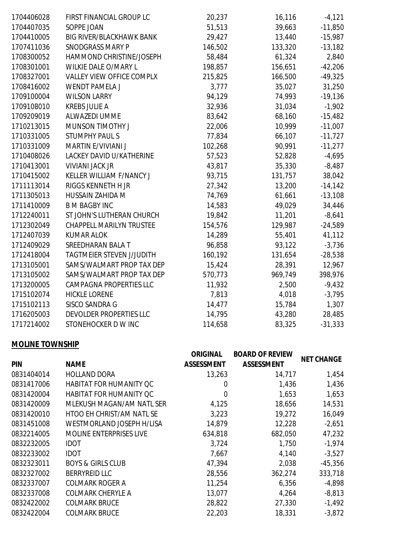| 1704406028 | FIRST FINANCIAL GROUP LC         | 20,237  | 16,116  | $-4,121$  |
|------------|----------------------------------|---------|---------|-----------|
| 1704407035 | SOPPE JOAN                       | 51,513  | 39,663  | $-11,850$ |
| 1704410005 | <b>BIG RIVER/BLACKHAWK BANK</b>  | 29,427  | 13,440  | $-15,987$ |
| 1707411036 | <b>SNODGRASS MARY P</b>          | 146,502 | 133,320 | $-13,182$ |
| 1708300052 | HAMMOND CHRISTINE/JOSEPH         | 58,484  | 61,324  | 2,840     |
| 1708301001 | WILKIE DALE O/MARY L             | 198,857 | 156,651 | $-42,206$ |
| 1708327001 | <b>VALLEY VIEW OFFICE COMPLX</b> | 215,825 | 166,500 | $-49,325$ |
| 1708416002 | <b>WENDT PAMELA J</b>            | 3,777   | 35,027  | 31,250    |
| 1709100004 | <b>WILSON LARRY</b>              | 94,129  | 74,993  | $-19,136$ |
| 1709108010 | <b>KREBS JULIE A</b>             | 32,936  | 31,034  | $-1,902$  |
| 1709209019 | ALWAZEDI UMME                    | 83,642  | 68,160  | $-15,482$ |
| 1710213015 | MUNSON TIMOTHY J                 | 22,006  | 10,999  | $-11,007$ |
| 1710331005 | <b>STUMPHY PAUL S</b>            | 77,834  | 66,107  | $-11,727$ |
| 1710331009 | MARTIN E/VIVIANI J               | 102,268 | 90,991  | $-11,277$ |
| 1710408026 | LACKEY DAVID U/KATHERINE         | 57,523  | 52,828  | $-4,695$  |
| 1710413001 | <b>VIVIANI JACK JR</b>           | 43,817  | 35,330  | $-8,487$  |
| 1710415002 | KELLER WILLIAM F/NANCY J         | 93,715  | 131,757 | 38,042    |
| 1711113014 | RIGGS KENNETH H JR               | 27,342  | 13,200  | $-14,142$ |
| 1711305013 | HUSSAIN ZAHIDA M                 | 74,769  | 61,661  | $-13,108$ |
| 1711410009 | <b>B M BAGBY INC</b>             | 14,583  | 49,029  | 34,446    |
| 1712240011 | ST JOHN'S LUTHERAN CHURCH        | 19,842  | 11,201  | $-8,641$  |
| 1712302049 | <b>CHAPPELL MARILYN TRUSTEE</b>  | 154,576 | 129,987 | $-24,589$ |
| 1712407039 | <b>KUMAR ALOK</b>                | 14,289  | 55,401  | 41,112    |
| 1712409029 | SREEDHARAN BALA T                | 96,858  | 93,122  | $-3,736$  |
| 1712418004 | <b>TAGTMEIER STEVEN J/JUDITH</b> | 160,192 | 131,654 | $-28,538$ |
| 1713105001 | SAMS/WALMART PROP TAX DEP        | 15,424  | 28,391  | 12,967    |
| 1713105002 | SAMS/WALMART PROP TAX DEP        | 570,773 | 969,749 | 398,976   |
| 1713200005 | <b>CAMPAGNA PROPERTIES LLC</b>   | 11,932  | 2,500   | $-9,432$  |
| 1715102074 | <b>HICKLE LORENE</b>             | 7,813   | 4,018   | $-3,795$  |
| 1715102113 | <b>SISCO SANDRA G</b>            | 14,477  | 15,784  | 1,307     |
| 1716205003 | DEVOLDER PROPERTIES LLC          | 14,795  | 43,280  | 28,485    |
| 1717214002 | STONEHOCKER D W INC              | 114,658 | 83,325  | $-31,333$ |

## **MOLINE TOWNSHIP**

| <b>PIN</b> | <b>NAME</b>                    | <b>ORIGINAL</b><br><b>ASSESSMENT</b> | <b>BOARD OF REVIEW</b><br><b>ASSESSMENT</b> | <b>NET CHANGE</b> |
|------------|--------------------------------|--------------------------------------|---------------------------------------------|-------------------|
| 0831404014 | <b>HOLLAND DORA</b>            | 13,263                               | 14,717                                      | 1,454             |
| 0831417006 | HABITAT FOR HUMANITY OC        | 0                                    | 1,436                                       | 1,436             |
| 0831420004 | <b>HABITAT FOR HUMANITY QC</b> | 0                                    | 1,653                                       | 1,653             |
| 0831420009 | MLEKUSH MAGAN/AM NATL SER      | 4,125                                | 18,656                                      | 14,531            |
| 0831420010 | HTOO EH CHRIST/AM NATL SE      | 3,223                                | 19,272                                      | 16,049            |
| 0831451008 | WESTMORLAND JOSEPH H/LISA      | 14,879                               | 12,228                                      | $-2,651$          |
| 0832214005 | <b>MOLINE ENTERPRISES LIVE</b> | 634,818                              | 682,050                                     | 47,232            |
| 0832232005 | <b>IDOT</b>                    | 3,724                                | 1,750                                       | $-1,974$          |
| 0832233002 | <b>IDOT</b>                    | 7,667                                | 4,140                                       | $-3,527$          |
| 0832323011 | <b>BOYS &amp; GIRLS CLUB</b>   | 47,394                               | 2,038                                       | $-45,356$         |
| 0832327002 | <b>BERRYREID LLC</b>           | 28,556                               | 362,274                                     | 333,718           |
| 0832337007 | <b>COLMARK ROGER A</b>         | 11,254                               | 6,356                                       | $-4,898$          |
| 0832337008 | <b>COLMARK CHERYLE A</b>       | 13,077                               | 4,264                                       | $-8,813$          |
| 0832422002 | <b>COLMARK BRUCE</b>           | 28,822                               | 27,330                                      | $-1,492$          |
| 0832422004 | <b>COLMARK BRUCE</b>           | 22,203                               | 18,331                                      | $-3,872$          |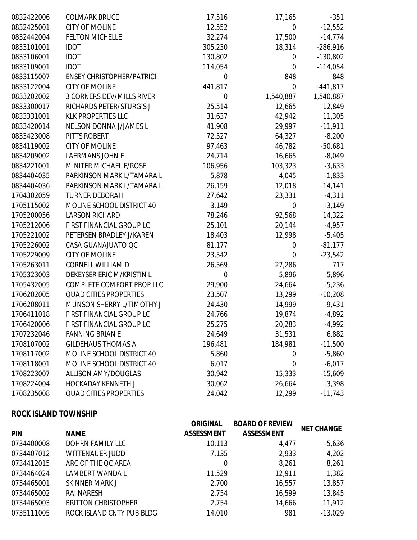| 0832422006 | <b>COLMARK BRUCE</b>             | 17,516           | 17,165           | $-351$     |
|------------|----------------------------------|------------------|------------------|------------|
| 0832425001 | <b>CITY OF MOLINE</b>            | 12,552           | $\mathbf 0$      | $-12,552$  |
| 0832442004 | <b>FELTON MICHELLE</b>           | 32,274           | 17,500           | $-14,774$  |
| 0833101001 | <b>IDOT</b>                      | 305,230          | 18,314           | $-286,916$ |
| 0833106001 | <b>IDOT</b>                      | 130,802          | $\boldsymbol{0}$ | $-130,802$ |
| 0833109001 | <b>IDOT</b>                      | 114,054          | $\mathbf 0$      | $-114,054$ |
| 0833115007 | <b>ENSEY CHRISTOPHER/PATRICI</b> | $\mathbf 0$      | 848              | 848        |
| 0833122004 | <b>CITY OF MOLINE</b>            | 441,817          | $\boldsymbol{0}$ | $-441,817$ |
| 0833202002 | 3 CORNERS DEV/MILLS RIVER        | $\mathbf 0$      | 1,540,887        | 1,540,887  |
| 0833300017 | RICHARDS PETER/STURGIS J         | 25,514           | 12,665           | $-12,849$  |
| 0833331001 | <b>KLK PROPERTIES LLC</b>        | 31,637           | 42,942           | 11,305     |
| 0833420014 | NELSON DONNA J/JAMES L           | 41,908           | 29,997           | $-11,911$  |
| 0833423008 | PITTS ROBERT                     | 72,527           | 64,327           | $-8,200$   |
| 0834119002 | <b>CITY OF MOLINE</b>            | 97,463           | 46,782           | $-50,681$  |
| 0834209002 | <b>LAERMANS JOHN E</b>           | 24,714           | 16,665           | $-8,049$   |
| 0834221001 | MINITER MICHAEL F/ROSE           | 106,956          | 103,323          | $-3,633$   |
| 0834404035 | PARKINSON MARK L/TAMARA L        | 5,878            | 4,045            | $-1,833$   |
| 0834404036 | PARKINSON MARK L/TAMARA L        | 26,159           | 12,018           | $-14,141$  |
| 1704302059 | <b>TURNER DEBORAH</b>            | 27,642           | 23,331           | $-4,311$   |
| 1705115002 | MOLINE SCHOOL DISTRICT 40        | 3,149            | $\mathbf 0$      | $-3,149$   |
| 1705200056 | <b>LARSON RICHARD</b>            | 78,246           | 92,568           | 14,322     |
| 1705212006 | FIRST FINANCIAL GROUP LC         | 25,101           | 20,144           | $-4,957$   |
| 1705221002 | PETERSEN BRADLEY J/KAREN         | 18,403           | 12,998           | $-5,405$   |
| 1705226002 | CASA GUANAJUATO QC               | 81,177           | 0                | $-81,177$  |
| 1705229009 | <b>CITY OF MOLINE</b>            | 23,542           | 0                | $-23,542$  |
| 1705263011 | CORNELL WILLIAM D                | 26,569           | 27,286           | 717        |
| 1705323003 | DEKEYSER ERIC M/KRISTIN L        | $\boldsymbol{0}$ | 5,896            | 5,896      |
| 1705432005 | COMPLETE COMFORT PROP LLC        | 29,900           | 24,664           | $-5,236$   |
| 1706202005 | <b>QUAD CITIES PROPERTIES</b>    | 23,507           | 13,299           | $-10,208$  |
| 1706208011 | MUNSON SHERRY L/TIMOTHY J        | 24,430           | 14,999           | $-9,431$   |
| 1706411018 | FIRST FINANCIAL GROUP LC         | 24,766           | 19,874           | $-4,892$   |
| 1706420006 | FIRST FINANCIAL GROUP LC         | 25,275           | 20,283           | $-4,992$   |
| 1707232046 | <b>FANNING BRIAN E</b>           | 24,649           | 31,531           | 6,882      |
| 1708107002 | <b>GILDEHAUS THOMAS A</b>        | 196,481          | 184,981          | $-11,500$  |
| 1708117002 | MOLINE SCHOOL DISTRICT 40        | 5,860            | 0                | $-5,860$   |
| 1708118001 | MOLINE SCHOOL DISTRICT 40        | 6,017            | 0                | $-6,017$   |
| 1708223007 | <b>ALLISON AMY/DOUGLAS</b>       | 30,942           | 15,333           | $-15,609$  |
| 1708224004 | <b>HOCKADAY KENNETH J</b>        | 30,062           | 26,664           | $-3,398$   |
| 1708235008 | <b>QUAD CITIES PROPERTIES</b>    | 24,042           | 12,299           | $-11,743$  |

## **ROCK ISLAND TOWNSHIP**

| <b>PIN</b> | <b>NAME</b>                | <b>ORIGINAL</b><br><b>ASSESSMENT</b> | <b>BOARD OF REVIEW</b><br><b>ASSESSMENT</b> | <b>NET CHANGE</b> |
|------------|----------------------------|--------------------------------------|---------------------------------------------|-------------------|
| 0734400008 | <b>DOHRN FAMILY LLC</b>    | 10,113                               | 4,477                                       | $-5,636$          |
| 0734407012 | <b>WITTENAUER JUDD</b>     | 7,135                                | 2,933                                       | $-4,202$          |
| 0734412015 | ARC OF THE QC AREA         | 0                                    | 8,261                                       | 8,261             |
| 0734464024 | LAMBERT WANDA L            | 11,529                               | 12,911                                      | 1,382             |
| 0734465001 | <b>SKINNER MARK J</b>      | 2,700                                | 16,557                                      | 13,857            |
| 0734465002 | <b>RAI NARESH</b>          | 2,754                                | 16,599                                      | 13,845            |
| 0734465003 | <b>BRITTON CHRISTOPHER</b> | 2,754                                | 14,666                                      | 11,912            |
| 0735111005 | ROCK ISLAND CNTY PUB BLDG  | 14,010                               | 981                                         | $-13,029$         |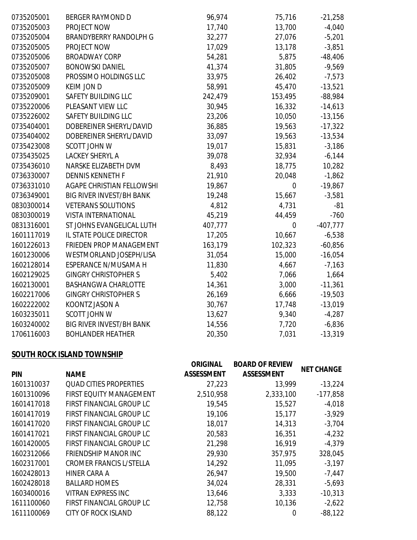| 0735205001 | <b>BERGER RAYMOND D</b>         | 96,974  | 75,716      | $-21,258$  |
|------------|---------------------------------|---------|-------------|------------|
| 0735205003 | PROJECT NOW                     | 17,740  | 13,700      | $-4,040$   |
| 0735205004 | <b>BRANDYBERRY RANDOLPH G</b>   | 32,277  | 27,076      | $-5,201$   |
| 0735205005 | PROJECT NOW                     | 17,029  | 13,178      | $-3,851$   |
| 0735205006 | <b>BROADWAY CORP</b>            | 54,281  | 5,875       | $-48,406$  |
| 0735205007 | <b>BONOWSKI DANIEL</b>          | 41,374  | 31,805      | $-9,569$   |
| 0735205008 | PROSSIMO HOLDINGS LLC           | 33,975  | 26,402      | $-7,573$   |
| 0735205009 | <b>KEIM JON D</b>               | 58,991  | 45,470      | $-13,521$  |
| 0735209001 | SAFETY BUILDING LLC             | 242,479 | 153,495     | $-88,984$  |
| 0735220006 | PLEASANT VIEW LLC               | 30,945  | 16,332      | $-14,613$  |
| 0735226002 | SAFETY BUILDING LLC             | 23,206  | 10,050      | $-13,156$  |
| 0735404001 | DOBEREINER SHERYL/DAVID         | 36,885  | 19,563      | $-17,322$  |
| 0735404002 | DOBEREINER SHERYL/DAVID         | 33,097  | 19,563      | $-13,534$  |
| 0735423008 | SCOTT JOHN W                    | 19,017  | 15,831      | $-3,186$   |
| 0735435025 | <b>LACKEY SHERYL A</b>          | 39,078  | 32,934      | $-6,144$   |
| 0735436010 | NARSKE ELIZABETH DVM            | 8,493   | 18,775      | 10,282     |
| 0736330007 | <b>DENNIS KENNETH F</b>         | 21,910  | 20,048      | $-1,862$   |
| 0736331010 | AGAPE CHRISTIAN FELLOWSHI       | 19,867  | $\mathbf 0$ | $-19,867$  |
| 0736349001 | <b>BIG RIVER INVEST/BH BANK</b> | 19,248  | 15,667      | $-3,581$   |
| 0830300014 | <b>VETERANS SOLUTIONS</b>       | 4,812   | 4,731       | $-81$      |
| 0830300019 | <b>VISTA INTERNATIONAL</b>      | 45,219  | 44,459      | $-760$     |
| 0831316001 | ST JOHNS EVANGELICAL LUTH       | 407,777 | $\mathbf 0$ | $-407,777$ |
| 1601117019 | IL STATE POLICE DIRECTOR        | 17,205  | 10,667      | $-6,538$   |
| 1601226013 | FRIEDEN PROP MANAGEMENT         | 163,179 | 102,323     | $-60,856$  |
| 1601230006 | WESTMORLAND JOSEPH/LISA         | 31,054  | 15,000      | $-16,054$  |
| 1602128014 | ESPERANCE N/MUSAMA H            | 11,830  | 4,667       | $-7,163$   |
| 1602129025 | <b>GINGRY CHRISTOPHER S</b>     | 5,402   | 7,066       | 1,664      |
| 1602130001 | <b>BASHANGWA CHARLOTTE</b>      | 14,361  | 3,000       | $-11,361$  |
| 1602217006 | <b>GINGRY CHRISTOPHER S</b>     | 26,169  | 6,666       | $-19,503$  |
| 1602222002 | KOONTZ JASON A                  | 30,767  | 17,748      | $-13,019$  |
| 1603235011 | SCOTT JOHN W                    | 13,627  | 9,340       | $-4,287$   |
| 1603240002 | <b>BIG RIVER INVEST/BH BANK</b> | 14,556  | 7,720       | $-6,836$   |
| 1706116003 | <b>BOHLANDER HEATHER</b>        | 20,350  | 7,031       | $-13,319$  |

# **SOUTH ROCK ISLAND TOWNSHIP**

|            |                                | <b>ORIGINAL</b>   | <b>BOARD OF REVIEW</b> |                   |
|------------|--------------------------------|-------------------|------------------------|-------------------|
| <b>PIN</b> | <b>NAME</b>                    | <b>ASSESSMENT</b> | <b>ASSESSMENT</b>      | <b>NET CHANGE</b> |
| 1601310037 | <b>QUAD CITIES PROPERTIES</b>  | 27,223            | 13,999                 | $-13,224$         |
| 1601310096 | FIRST EQUITY MANAGEMENT        | 2,510,958         | 2,333,100              | $-177,858$        |
| 1601417018 | FIRST FINANCIAL GROUP LC       | 19,545            | 15,527                 | $-4,018$          |
| 1601417019 | FIRST FINANCIAL GROUP LC       | 19,106            | 15,177                 | $-3,929$          |
| 1601417020 | FIRST FINANCIAL GROUP LC       | 18,017            | 14,313                 | $-3,704$          |
| 1601417021 | FIRST FINANCIAL GROUP LC       | 20,583            | 16,351                 | $-4,232$          |
| 1601420005 | FIRST FINANCIAL GROUP LC       | 21,298            | 16,919                 | $-4,379$          |
| 1602312066 | <b>FRIENDSHIP MANOR INC</b>    | 29,930            | 357,975                | 328,045           |
| 1602317001 | <b>CROMER FRANCIS L/STELLA</b> | 14,292            | 11,095                 | $-3,197$          |
| 1602428013 | HINER CARA A                   | 26,947            | 19,500                 | $-7,447$          |
| 1602428018 | <b>BALLARD HOMES</b>           | 34,024            | 28,331                 | $-5,693$          |
| 1603400016 | <b>VITRAN EXPRESS INC</b>      | 13,646            | 3,333                  | $-10,313$         |
| 1611100060 | FIRST FINANCIAL GROUP LC       | 12,758            | 10,136                 | $-2,622$          |
| 1611100069 | <b>CITY OF ROCK ISLAND</b>     | 88,122            | 0                      | $-88,122$         |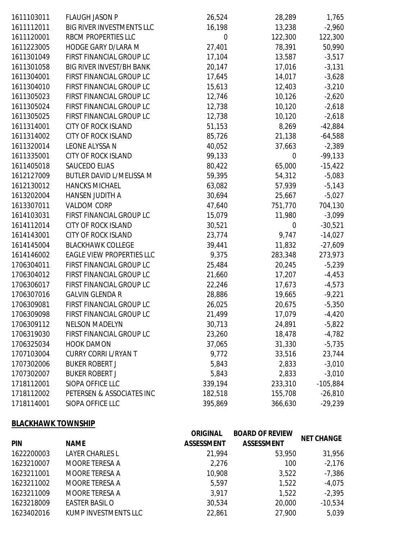| 1611103011 | <b>FLAUGH JASON P</b>            | 26,524  | 28,289  | 1,765      |
|------------|----------------------------------|---------|---------|------------|
| 1611112011 | <b>BIG RIVER INVESTMENTS LLC</b> | 16,198  | 13,238  | $-2,960$   |
| 1611120001 | RBCM PROPERTIES LLC              | 0       | 122,300 | 122,300    |
| 1611223005 | HODGE GARY D/LARA M              | 27,401  | 78,391  | 50,990     |
| 1611301049 | FIRST FINANCIAL GROUP LC         | 17,104  | 13,587  | $-3,517$   |
| 1611301058 | <b>BIG RIVER INVEST/BH BANK</b>  | 20,147  | 17,016  | $-3,131$   |
| 1611304001 | FIRST FINANCIAL GROUP LC         | 17,645  | 14,017  | $-3,628$   |
| 1611304010 | FIRST FINANCIAL GROUP LC         | 15,613  | 12,403  | $-3,210$   |
| 1611305023 | FIRST FINANCIAL GROUP LC         | 12,746  | 10,126  | $-2,620$   |
| 1611305024 | FIRST FINANCIAL GROUP LC         | 12,738  | 10,120  | $-2,618$   |
| 1611305025 | FIRST FINANCIAL GROUP LC         | 12,738  | 10,120  | $-2,618$   |
| 1611314001 | <b>CITY OF ROCK ISLAND</b>       | 51,153  | 8,269   | $-42,884$  |
| 1611314002 | <b>CITY OF ROCK ISLAND</b>       | 85,726  | 21,138  | $-64,588$  |
| 1611320014 | LEONE ALYSSA N                   | 40,052  | 37,663  | $-2,389$   |
| 1611335001 | <b>CITY OF ROCK ISLAND</b>       | 99,133  | 0       | $-99,133$  |
| 1611405018 | SAUCEDO ELIAS                    | 80,422  | 65,000  | $-15,422$  |
| 1612127009 | BUTLER DAVID L/MELISSA M         | 59,395  | 54,312  | $-5,083$   |
| 1612130012 | <b>HANCKS MICHAEL</b>            | 63,082  | 57,939  | $-5,143$   |
| 1613202004 | HANSEN JUDITH A                  | 30,694  | 25,667  | $-5,027$   |
| 1613307011 | <b>VALDOM CORP</b>               | 47,640  | 751,770 | 704,130    |
| 1614103031 | FIRST FINANCIAL GROUP LC         | 15,079  | 11,980  | $-3,099$   |
| 1614112014 | <b>CITY OF ROCK ISLAND</b>       | 30,521  | 0       | $-30,521$  |
| 1614143001 | <b>CITY OF ROCK ISLAND</b>       | 23,774  | 9,747   | $-14,027$  |
| 1614145004 | <b>BLACKHAWK COLLEGE</b>         | 39,441  | 11,832  | $-27,609$  |
| 1614146002 | EAGLE VIEW PROPERTIES LLC        | 9,375   | 283,348 | 273,973    |
| 1706304011 | FIRST FINANCIAL GROUP LC         | 25,484  | 20,245  | $-5,239$   |
| 1706304012 | FIRST FINANCIAL GROUP LC         | 21,660  | 17,207  | $-4,453$   |
| 1706306017 | FIRST FINANCIAL GROUP LC         | 22,246  | 17,673  | $-4,573$   |
| 1706307016 | <b>GALVIN GLENDA R</b>           | 28,886  | 19,665  | $-9,221$   |
| 1706309081 | FIRST FINANCIAL GROUP LC         | 26,025  | 20,675  | $-5,350$   |
| 1706309098 | FIRST FINANCIAL GROUP LC         | 21,499  | 17,079  | $-4,420$   |
| 1706309112 | <b>NELSON MADELYN</b>            | 30,713  | 24,891  | $-5,822$   |
| 1706319030 | FIRST FINANCIAL GROUP LC         | 23,260  | 18,478  | $-4,782$   |
| 1706325034 | <b>HOOK DAMON</b>                | 37,065  | 31,330  | $-5,735$   |
| 1707103004 | <b>CURRY CORRI L/RYAN T</b>      | 9,772   | 33,516  | 23,744     |
| 1707302006 | <b>BUKER ROBERT J</b>            | 5,843   | 2,833   | $-3,010$   |
| 1707302007 | <b>BUKER ROBERT J</b>            | 5,843   | 2,833   | $-3,010$   |
| 1718112001 | SIOPA OFFICE LLC                 | 339,194 | 233,310 | $-105,884$ |
| 1718112002 | PETERSEN & ASSOCIATES INC        | 182,518 | 155,708 | $-26,810$  |
| 1718114001 | SIOPA OFFICE LLC                 | 395,869 | 366,630 | $-29,239$  |

## **BLACKHAWK TOWNSHIP**

| <b>PIN</b> | <b>NAME</b>            | <b>ORIGINAL</b><br><b>ASSESSMENT</b> | <b>BOARD OF REVIEW</b><br><b>ASSESSMENT</b> | <b>NET CHANGE</b> |
|------------|------------------------|--------------------------------------|---------------------------------------------|-------------------|
| 1622200003 | <b>LAYER CHARLES L</b> | 21,994                               | 53,950                                      | 31,956            |
| 1623210007 | <b>MOORE TERESA A</b>  | 2,276                                | 100                                         | $-2,176$          |
| 1623211001 | MOORE TERESA A         | 10,908                               | 3,522                                       | $-7,386$          |
| 1623211002 | <b>MOORE TERESA A</b>  | 5,597                                | 1,522                                       | $-4,075$          |
| 1623211009 | MOORE TERESA A         | 3,917                                | 1,522                                       | $-2,395$          |
| 1623218009 | <b>EASTER BASIL O</b>  | 30,534                               | 20,000                                      | $-10,534$         |
| 1623402016 | KUMP INVESTMENTS LLC   | 22,861                               | 27,900                                      | 5,039             |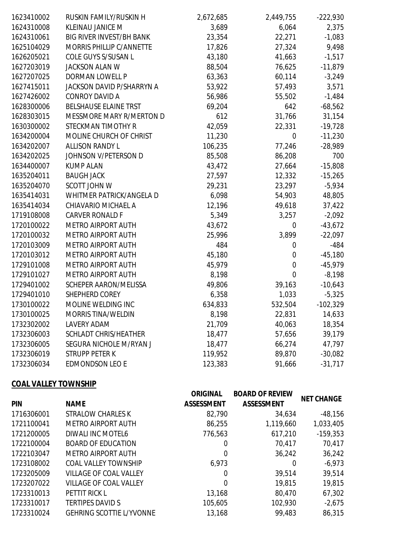| 1623410002 | RUSKIN FAMILY/RUSKIN H           | 2,672,685 | 2,449,755   | $-222,930$ |
|------------|----------------------------------|-----------|-------------|------------|
| 1624310008 | KLEINAU JANICE M                 | 3,689     | 6,064       | 2,375      |
| 1624310061 | <b>BIG RIVER INVEST/BH BANK</b>  | 23,354    | 22,271      | $-1,083$   |
| 1625104029 | MORRIS PHILLIP C/ANNETTE         | 17,826    | 27,324      | 9,498      |
| 1626205021 | COLE GUYS S/SUSAN L              | 43,180    | 41,663      | $-1,517$   |
| 1627203019 | <b>JACKSON ALAN W</b>            | 88,504    | 76,625      | $-11,879$  |
| 1627207025 | DORMAN LOWELL P                  | 63,363    | 60,114      | $-3,249$   |
| 1627415011 | <b>JACKSON DAVID P/SHARRYN A</b> | 53,922    | 57,493      | 3,571      |
| 1627426002 | <b>CONROY DAVID A</b>            | 56,986    | 55,502      | $-1,484$   |
| 1628300006 | BELSHAUSE ELAINE TRST            | 69,204    | 642         | $-68,562$  |
| 1628303015 | MESSMORE MARY R/MERTON D         | 612       | 31,766      | 31,154     |
| 1630300002 | STECKMAN TIMOTHY R               | 42,059    | 22,331      | $-19,728$  |
| 1634200004 | MOLINE CHURCH OF CHRIST          | 11,230    | 0           | $-11,230$  |
| 1634202007 | <b>ALLISON RANDY L</b>           | 106,235   | 77,246      | $-28,989$  |
| 1634202025 | JOHNSON V/PETERSON D             | 85,508    | 86,208      | 700        |
| 1634400007 | <b>KUMP ALAN</b>                 | 43,472    | 27,664      | $-15,808$  |
| 1635204011 | <b>BAUGH JACK</b>                | 27,597    | 12,332      | $-15,265$  |
| 1635204070 | <b>SCOTT JOHN W</b>              | 29,231    | 23,297      | $-5,934$   |
| 1635414031 | WHITMER PATRICK/ANGELA D         | 6,098     | 54,903      | 48,805     |
| 1635414034 | CHIAVARIO MICHAEL A              | 12,196    | 49,618      | 37,422     |
| 1719108008 | <b>CARVER RONALD F</b>           | 5,349     | 3,257       | $-2,092$   |
| 1720100022 | <b>METRO AIRPORT AUTH</b>        | 43,672    | 0           | $-43,672$  |
| 1720100032 | METRO AIRPORT AUTH               | 25,996    | 3,899       | $-22,097$  |
| 1720103009 | <b>METRO AIRPORT AUTH</b>        | 484       | 0           | $-484$     |
| 1720103012 | <b>METRO AIRPORT AUTH</b>        | 45,180    | 0           | $-45,180$  |
| 1729101008 | <b>METRO AIRPORT AUTH</b>        | 45,979    | 0           | $-45,979$  |
| 1729101027 | <b>METRO AIRPORT AUTH</b>        | 8,198     | $\mathbf 0$ | $-8,198$   |
| 1729401002 | SCHEPER AARON/MELISSA            | 49,806    | 39,163      | $-10,643$  |
| 1729401010 | SHEPHERD COREY                   | 6,358     | 1,033       | $-5,325$   |
| 1730100022 | MOLINE WELDING INC               | 634,833   | 532,504     | $-102,329$ |
| 1730100025 | <b>MORRIS TINA/WELDIN</b>        | 8,198     | 22,831      | 14,633     |
| 1732302002 | LAVERY ADAM                      | 21,709    | 40,063      | 18,354     |
| 1732306003 | SCHLADT CHRIS/HEATHER            | 18,477    | 57,656      | 39,179     |
| 1732306005 | SEGURA NICHOLE M/RYAN J          | 18,477    | 66,274      | 47,797     |
| 1732306019 | <b>STRUPP PETER K</b>            | 119,952   | 89,870      | $-30,082$  |
| 1732306034 | <b>EDMONDSON LEO E</b>           | 123,383   | 91,666      | $-31,717$  |
|            |                                  |           |             |            |

## **COAL VALLEY TOWNSHIP**

| <b>PIN</b> | <b>NAME</b>                     | <b>ORIGINAL</b><br><b>ASSESSMENT</b> | <b>BOARD OF REVIEW</b><br><b>ASSESSMENT</b> | <b>NET CHANGE</b> |
|------------|---------------------------------|--------------------------------------|---------------------------------------------|-------------------|
| 1716306001 | STRALOW CHARLES K               | 82,790                               | 34,634                                      | $-48,156$         |
| 1721100041 | <b>METRO AIRPORT AUTH</b>       | 86,255                               | 1,119,660                                   | 1,033,405         |
| 1721200005 | DIWALI INC MOTEL6               | 776,563                              | 617,210                                     | $-159,353$        |
| 1722100004 | <b>BOARD OF EDUCATION</b>       | 0                                    | 70,417                                      | 70,417            |
| 1722103047 | <b>METRO AIRPORT AUTH</b>       | 0                                    | 36,242                                      | 36,242            |
| 1723108002 | <b>COAL VALLEY TOWNSHIP</b>     | 6,973                                | 0                                           | $-6,973$          |
| 1723205009 | VILLAGE OF COAL VALLEY          | 0                                    | 39,514                                      | 39,514            |
| 1723207022 | VILLAGE OF COAL VALLEY          | 0                                    | 19,815                                      | 19,815            |
| 1723310013 | PETTIT RICK L                   | 13,168                               | 80,470                                      | 67,302            |
| 1723310017 | <b>TERTIPES DAVID S</b>         | 105,605                              | 102,930                                     | $-2,675$          |
| 1723310024 | <b>GEHRING SCOTTIE L/YVONNE</b> | 13,168                               | 99,483                                      | 86,315            |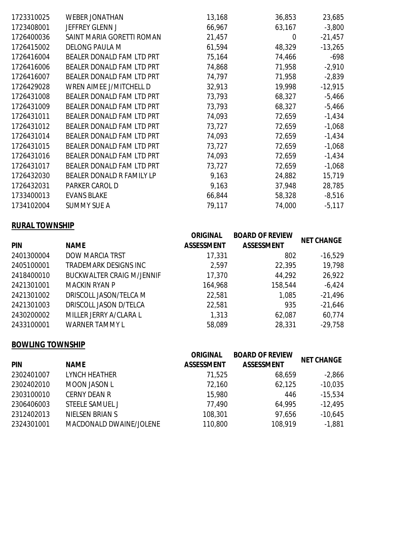| 1723310025 | <b>WEBER JONATHAN</b>            | 13,168 | 36,853 | 23,685    |
|------------|----------------------------------|--------|--------|-----------|
| 1723408001 | <b>JEFFREY GLENN J</b>           | 66,967 | 63,167 | $-3,800$  |
| 1726400036 | SAINT MARIA GORETTI ROMAN        | 21,457 | 0      | $-21,457$ |
| 1726415002 | <b>DELONG PAULA M</b>            | 61,594 | 48,329 | $-13,265$ |
| 1726416004 | <b>BEALER DONALD FAM LTD PRT</b> | 75,164 | 74,466 | $-698$    |
| 1726416006 | <b>BEALER DONALD FAM LTD PRT</b> | 74,868 | 71,958 | $-2,910$  |
| 1726416007 | <b>BEALER DONALD FAM LTD PRT</b> | 74,797 | 71,958 | $-2,839$  |
| 1726429028 | WREN AIMEE J/MITCHELL D          | 32,913 | 19,998 | $-12,915$ |
| 1726431008 | <b>BEALER DONALD FAM LTD PRT</b> | 73,793 | 68,327 | $-5,466$  |
| 1726431009 | <b>BEALER DONALD FAM LTD PRT</b> | 73,793 | 68,327 | $-5,466$  |
| 1726431011 | <b>BEALER DONALD FAM LTD PRT</b> | 74,093 | 72,659 | $-1,434$  |
| 1726431012 | <b>BEALER DONALD FAM LTD PRT</b> | 73,727 | 72,659 | $-1,068$  |
| 1726431014 | <b>BEALER DONALD FAM LTD PRT</b> | 74,093 | 72,659 | $-1,434$  |
| 1726431015 | <b>BEALER DONALD FAM LTD PRT</b> | 73,727 | 72,659 | $-1,068$  |
| 1726431016 | <b>BEALER DONALD FAM LTD PRT</b> | 74,093 | 72,659 | $-1,434$  |
| 1726431017 | <b>BEALER DONALD FAM LTD PRT</b> | 73,727 | 72,659 | $-1,068$  |
| 1726432030 | BEALER DONALD R FAMILY LP        | 9,163  | 24,882 | 15,719    |
| 1726432031 | PARKER CAROL D                   | 9,163  | 37,948 | 28,785    |
| 1733400013 | <b>EVANS BLAKE</b>               | 66,844 | 58,328 | $-8,516$  |
| 1734102004 | <b>SUMMY SUE A</b>               | 79,117 | 74,000 | $-5,117$  |

## **RURAL TOWNSHIP**

| <b>PIN</b> | <b>NAME</b>                      | <b>ORIGINAL</b><br><b>ASSESSMENT</b> | <b>BOARD OF REVIEW</b><br><b>ASSESSMENT</b> | <b>NET CHANGE</b> |
|------------|----------------------------------|--------------------------------------|---------------------------------------------|-------------------|
| 2401300004 | <b>DOW MARCIA TRST</b>           | 17,331                               | 802                                         | $-16,529$         |
| 2405100001 | TRADEMARK DESIGNS INC            | 2,597                                | 22,395                                      | 19,798            |
| 2418400010 | <b>BUCKWALTER CRAIG M/JENNIF</b> | 17,370                               | 44,292                                      | 26,922            |
| 2421301001 | MACKIN RYAN P                    | 164,968                              | 158,544                                     | $-6,424$          |
| 2421301002 | DRISCOLL JASON/TELCA M           | 22,581                               | 1,085                                       | $-21,496$         |
| 2421301003 | DRISCOLL JASON D/TELCA           | 22,581                               | 935                                         | $-21,646$         |
| 2430200002 | MILLER JERRY A/CLARA L           | 1,313                                | 62,087                                      | 60,774            |
| 2433100001 | <b>WARNER TAMMY L</b>            | 58,089                               | 28,331                                      | $-29,758$         |

### **BOWLING TOWNSHIP**

| <b>PIN</b> | <b>NAME</b>             | <b>ORIGINAL</b><br><b>ASSESSMENT</b> | <b>BOARD OF REVIEW</b><br><b>ASSESSMENT</b> | <b>NET CHANGE</b> |
|------------|-------------------------|--------------------------------------|---------------------------------------------|-------------------|
| 2302401007 | <b>LYNCH HEATHER</b>    | 71,525                               | 68,659                                      | $-2,866$          |
| 2302402010 | <b>MOON JASON L</b>     | 72,160                               | 62,125                                      | $-10,035$         |
| 2303100010 | <b>CERNY DEAN R</b>     | 15,980                               | 446                                         | $-15,534$         |
| 2306406003 | STEELE SAMUEL J         | 77,490                               | 64,995                                      | $-12,495$         |
| 2312402013 | NIELSEN BRIAN S         | 108,301                              | 97,656                                      | $-10,645$         |
| 2324301001 | MACDONALD DWAINE/JOLENE | 110,800                              | 108,919                                     | $-1,881$          |